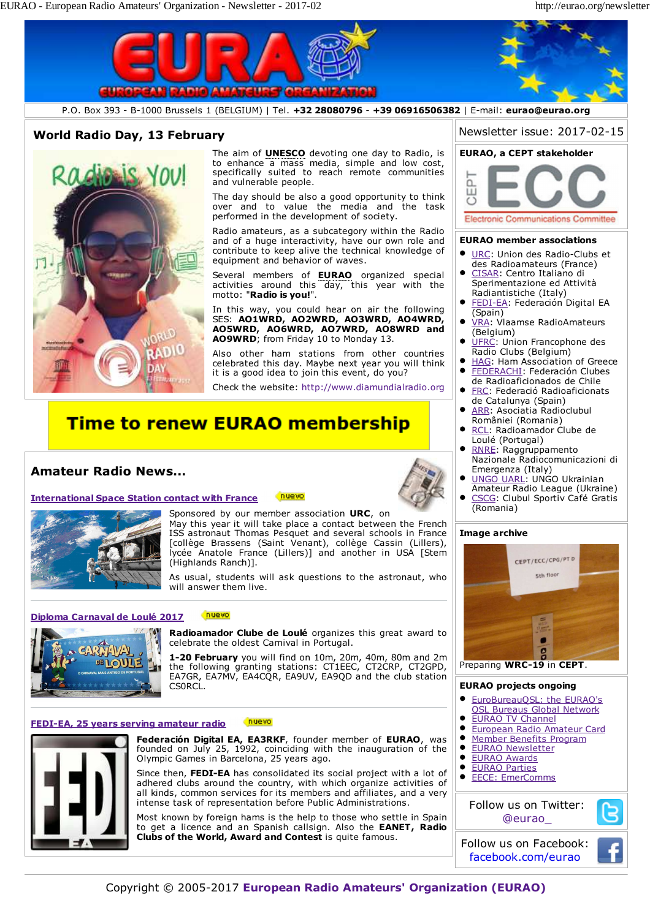

#### nuevo **FEDI-EA, 25 years serving amateur radio**



**Federación Digital EA, EA3RKF**, founder member of **EURAO**, was founded on July 25, 1992, coinciding with the inauguration of the Olympic Games in Barcelona, 25 years ago.

Since then, **FEDI-EA** has consolidated its social project with a lot of adhered clubs around the country, with which organize activities of all kinds, common services for its members and affiliates, and a very intense task of representation before Public Administrations.

Most known by foreign hams is the help to those who settle in Spain to get a licence and an Spanish callsign. Also the **EANET, Radio Clubs of the World, Award and Contest** is quite famous.

- **QSL Bureaus Global Network**
- EURAO TV Channel
- European Radio Amateur Card
- Member Benefits Program
- EURAO Newsletter
- EURAO Awards EURAO Parties
- $\bullet$ EECE: EmerComms

Follow us on Twitter: @eurao\_

Follow us on Facebook: facebook.com/eurao

Copyright © 2005-2017 **European Radio Amateurs' Organization (EURAO)**